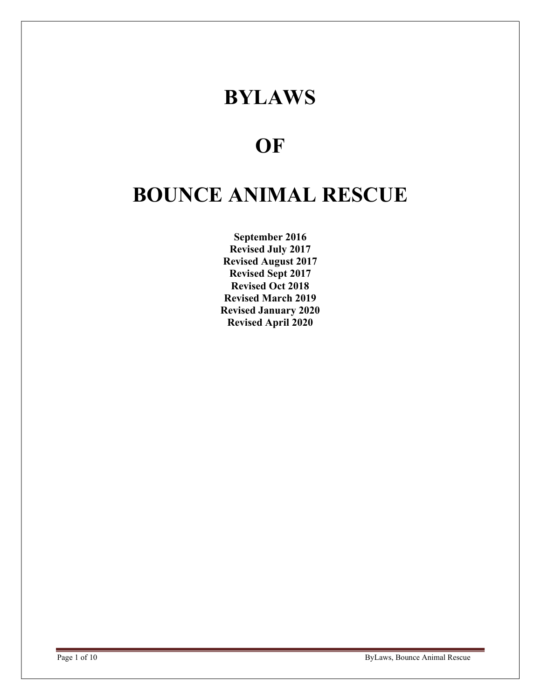## BYLAWS

### **OF**

# BOUNCE ANIMAL RESCUE

September 2016 Revised July 2017 Revised August 2017 Revised Sept 2017 Revised Oct 2018 Revised March 2019 Revised January 2020 Revised April 2020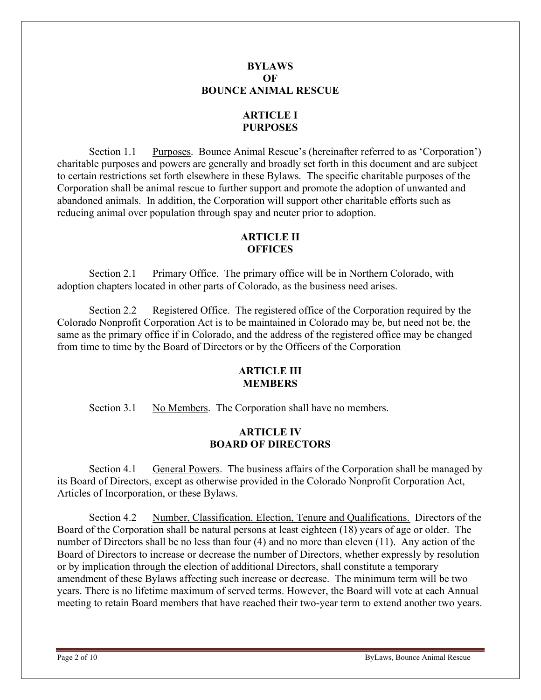#### BYLAWS OF BOUNCE ANIMAL RESCUE

#### ARTICLE I PURPOSES

Section 1.1 Purposes. Bounce Animal Rescue's (hereinafter referred to as 'Corporation') charitable purposes and powers are generally and broadly set forth in this document and are subject to certain restrictions set forth elsewhere in these Bylaws. The specific charitable purposes of the Corporation shall be animal rescue to further support and promote the adoption of unwanted and abandoned animals. In addition, the Corporation will support other charitable efforts such as reducing animal over population through spay and neuter prior to adoption.

#### ARTICLE II **OFFICES**

Section 2.1 Primary Office. The primary office will be in Northern Colorado, with adoption chapters located in other parts of Colorado, as the business need arises.

Section 2.2 Registered Office. The registered office of the Corporation required by the Colorado Nonprofit Corporation Act is to be maintained in Colorado may be, but need not be, the same as the primary office if in Colorado, and the address of the registered office may be changed from time to time by the Board of Directors or by the Officers of the Corporation

#### **ARTICLE III** MEMBERS

Section 3.1 No Members. The Corporation shall have no members.

#### ARTICLE IV BOARD OF DIRECTORS

Section 4.1 General Powers. The business affairs of the Corporation shall be managed by its Board of Directors, except as otherwise provided in the Colorado Nonprofit Corporation Act, Articles of Incorporation, or these Bylaws.

Section 4.2 Number, Classification. Election, Tenure and Qualifications. Directors of the Board of the Corporation shall be natural persons at least eighteen (18) years of age or older. The number of Directors shall be no less than four (4) and no more than eleven (11). Any action of the Board of Directors to increase or decrease the number of Directors, whether expressly by resolution or by implication through the election of additional Directors, shall constitute a temporary amendment of these Bylaws affecting such increase or decrease. The minimum term will be two years. There is no lifetime maximum of served terms. However, the Board will vote at each Annual meeting to retain Board members that have reached their two-year term to extend another two years.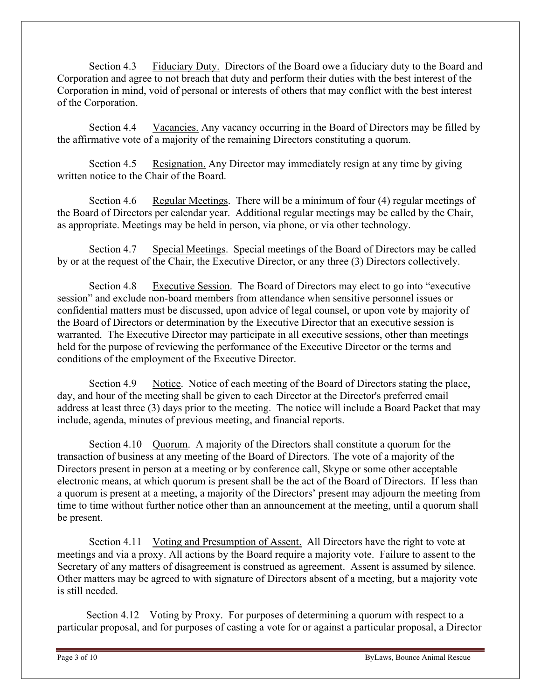Section 4.3 Fiduciary Duty. Directors of the Board owe a fiduciary duty to the Board and Corporation and agree to not breach that duty and perform their duties with the best interest of the Corporation in mind, void of personal or interests of others that may conflict with the best interest of the Corporation.

Section 4.4 Vacancies. Any vacancy occurring in the Board of Directors may be filled by the affirmative vote of a majority of the remaining Directors constituting a quorum.

Section 4.5 Resignation. Any Director may immediately resign at any time by giving written notice to the Chair of the Board.

Section 4.6 Regular Meetings. There will be a minimum of four (4) regular meetings of the Board of Directors per calendar year. Additional regular meetings may be called by the Chair, as appropriate. Meetings may be held in person, via phone, or via other technology.

Section 4.7 Special Meetings. Special meetings of the Board of Directors may be called by or at the request of the Chair, the Executive Director, or any three (3) Directors collectively.

Section 4.8 Executive Session. The Board of Directors may elect to go into "executive session" and exclude non-board members from attendance when sensitive personnel issues or confidential matters must be discussed, upon advice of legal counsel, or upon vote by majority of the Board of Directors or determination by the Executive Director that an executive session is warranted. The Executive Director may participate in all executive sessions, other than meetings held for the purpose of reviewing the performance of the Executive Director or the terms and conditions of the employment of the Executive Director.

Section 4.9 Notice. Notice of each meeting of the Board of Directors stating the place, day, and hour of the meeting shall be given to each Director at the Director's preferred email address at least three (3) days prior to the meeting. The notice will include a Board Packet that may include, agenda, minutes of previous meeting, and financial reports.

Section 4.10 Quorum. A majority of the Directors shall constitute a quorum for the transaction of business at any meeting of the Board of Directors. The vote of a majority of the Directors present in person at a meeting or by conference call, Skype or some other acceptable electronic means, at which quorum is present shall be the act of the Board of Directors. If less than a quorum is present at a meeting, a majority of the Directors' present may adjourn the meeting from time to time without further notice other than an announcement at the meeting, until a quorum shall be present.

Section 4.11 Voting and Presumption of Assent. All Directors have the right to vote at meetings and via a proxy. All actions by the Board require a majority vote. Failure to assent to the Secretary of any matters of disagreement is construed as agreement. Assent is assumed by silence. Other matters may be agreed to with signature of Directors absent of a meeting, but a majority vote is still needed.

 Section 4.12 Voting by Proxy. For purposes of determining a quorum with respect to a particular proposal, and for purposes of casting a vote for or against a particular proposal, a Director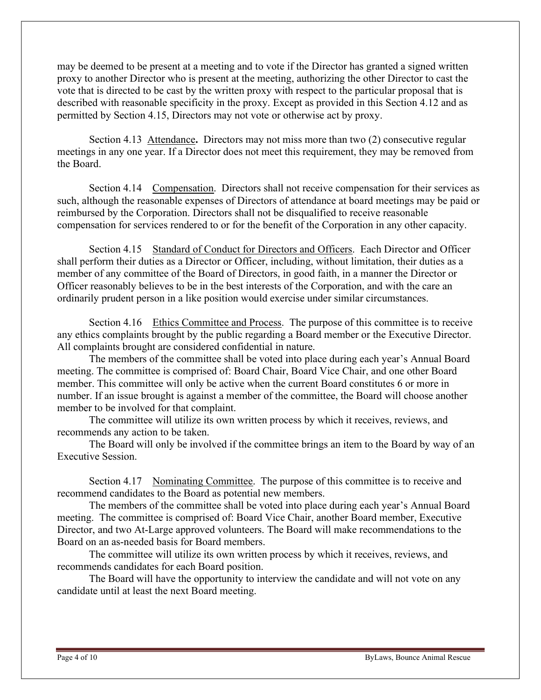may be deemed to be present at a meeting and to vote if the Director has granted a signed written proxy to another Director who is present at the meeting, authorizing the other Director to cast the vote that is directed to be cast by the written proxy with respect to the particular proposal that is described with reasonable specificity in the proxy. Except as provided in this Section 4.12 and as permitted by Section 4.15, Directors may not vote or otherwise act by proxy.

 Section 4.13 Attendance. Directors may not miss more than two (2) consecutive regular meetings in any one year. If a Director does not meet this requirement, they may be removed from the Board.

 Section 4.14 Compensation. Directors shall not receive compensation for their services as such, although the reasonable expenses of Directors of attendance at board meetings may be paid or reimbursed by the Corporation. Directors shall not be disqualified to receive reasonable compensation for services rendered to or for the benefit of the Corporation in any other capacity.

Section 4.15 Standard of Conduct for Directors and Officers. Each Director and Officer shall perform their duties as a Director or Officer, including, without limitation, their duties as a member of any committee of the Board of Directors, in good faith, in a manner the Director or Officer reasonably believes to be in the best interests of the Corporation, and with the care an ordinarily prudent person in a like position would exercise under similar circumstances.

Section 4.16 Ethics Committee and Process. The purpose of this committee is to receive any ethics complaints brought by the public regarding a Board member or the Executive Director. All complaints brought are considered confidential in nature.

The members of the committee shall be voted into place during each year's Annual Board meeting. The committee is comprised of: Board Chair, Board Vice Chair, and one other Board member. This committee will only be active when the current Board constitutes 6 or more in number. If an issue brought is against a member of the committee, the Board will choose another member to be involved for that complaint.

The committee will utilize its own written process by which it receives, reviews, and recommends any action to be taken.

The Board will only be involved if the committee brings an item to the Board by way of an Executive Session.

Section 4.17 Nominating Committee. The purpose of this committee is to receive and recommend candidates to the Board as potential new members.

The members of the committee shall be voted into place during each year's Annual Board meeting. The committee is comprised of: Board Vice Chair, another Board member, Executive Director, and two At-Large approved volunteers. The Board will make recommendations to the Board on an as-needed basis for Board members.

The committee will utilize its own written process by which it receives, reviews, and recommends candidates for each Board position.

The Board will have the opportunity to interview the candidate and will not vote on any candidate until at least the next Board meeting.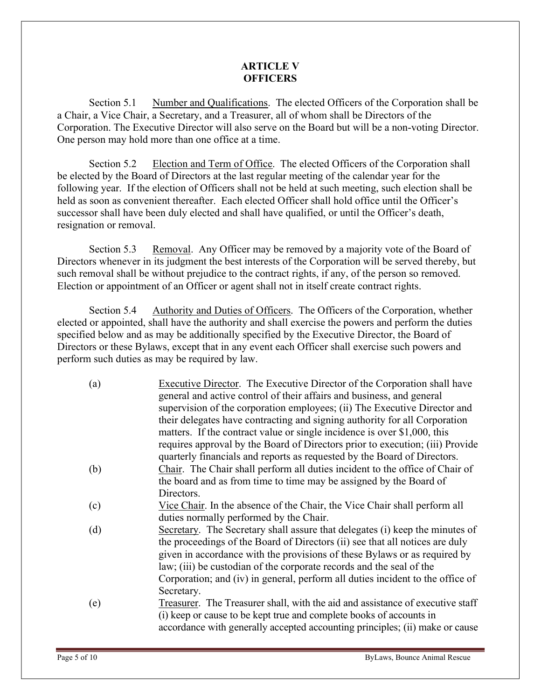#### ARTICLE V **OFFICERS**

Section 5.1 Number and Qualifications. The elected Officers of the Corporation shall be a Chair, a Vice Chair, a Secretary, and a Treasurer, all of whom shall be Directors of the Corporation. The Executive Director will also serve on the Board but will be a non-voting Director. One person may hold more than one office at a time.

Section 5.2 Election and Term of Office. The elected Officers of the Corporation shall be elected by the Board of Directors at the last regular meeting of the calendar year for the following year. If the election of Officers shall not be held at such meeting, such election shall be held as soon as convenient thereafter. Each elected Officer shall hold office until the Officer's successor shall have been duly elected and shall have qualified, or until the Officer's death, resignation or removal.

Section 5.3 Removal. Any Officer may be removed by a majority vote of the Board of Directors whenever in its judgment the best interests of the Corporation will be served thereby, but such removal shall be without prejudice to the contract rights, if any, of the person so removed. Election or appointment of an Officer or agent shall not in itself create contract rights.

Section 5.4 Authority and Duties of Officers. The Officers of the Corporation, whether elected or appointed, shall have the authority and shall exercise the powers and perform the duties specified below and as may be additionally specified by the Executive Director, the Board of Directors or these Bylaws, except that in any event each Officer shall exercise such powers and perform such duties as may be required by law.

| (a) | Executive Director. The Executive Director of the Corporation shall have       |
|-----|--------------------------------------------------------------------------------|
|     | general and active control of their affairs and business, and general          |
|     | supervision of the corporation employees; (ii) The Executive Director and      |
|     | their delegates have contracting and signing authority for all Corporation     |
|     | matters. If the contract value or single incidence is over \$1,000, this       |
|     | requires approval by the Board of Directors prior to execution; (iii) Provide  |
|     | quarterly financials and reports as requested by the Board of Directors.       |
| (b) | Chair. The Chair shall perform all duties incident to the office of Chair of   |
|     | the board and as from time to time may be assigned by the Board of             |
|     | Directors.                                                                     |
| (c) | Vice Chair. In the absence of the Chair, the Vice Chair shall perform all      |
|     | duties normally performed by the Chair.                                        |
| (d) | Secretary. The Secretary shall assure that delegates (i) keep the minutes of   |
|     | the proceedings of the Board of Directors (ii) see that all notices are duly   |
|     | given in accordance with the provisions of these Bylaws or as required by      |
|     | law; (iii) be custodian of the corporate records and the seal of the           |
|     | Corporation; and (iv) in general, perform all duties incident to the office of |
|     | Secretary.                                                                     |
| (e) | Treasurer. The Treasurer shall, with the aid and assistance of executive staff |
|     | (i) keep or cause to be kept true and complete books of accounts in            |
|     | accordance with generally accepted accounting principles; (ii) make or cause   |
|     |                                                                                |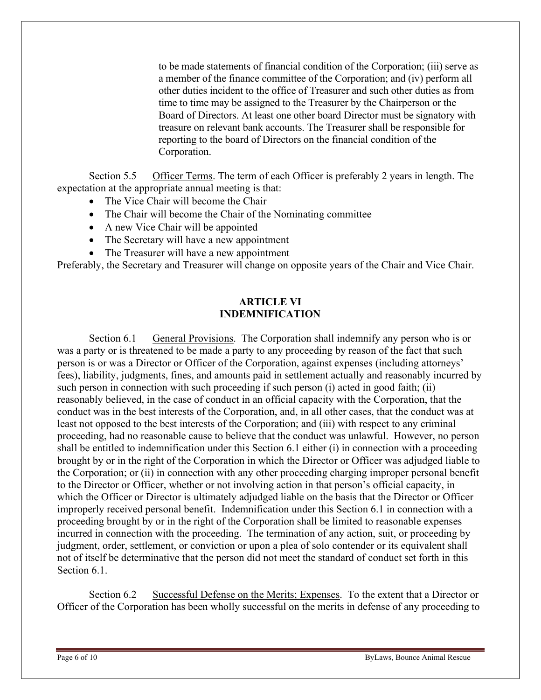to be made statements of financial condition of the Corporation; (iii) serve as a member of the finance committee of the Corporation; and (iv) perform all other duties incident to the office of Treasurer and such other duties as from time to time may be assigned to the Treasurer by the Chairperson or the Board of Directors. At least one other board Director must be signatory with treasure on relevant bank accounts. The Treasurer shall be responsible for reporting to the board of Directors on the financial condition of the Corporation.

Section 5.5 Officer Terms. The term of each Officer is preferably 2 years in length. The expectation at the appropriate annual meeting is that:

- The Vice Chair will become the Chair
- The Chair will become the Chair of the Nominating committee
- A new Vice Chair will be appointed
- The Secretary will have a new appointment
- The Treasurer will have a new appointment

Preferably, the Secretary and Treasurer will change on opposite years of the Chair and Vice Chair.

#### ARTICLE VI INDEMNIFICATION

Section 6.1 General Provisions. The Corporation shall indemnify any person who is or was a party or is threatened to be made a party to any proceeding by reason of the fact that such person is or was a Director or Officer of the Corporation, against expenses (including attorneys' fees), liability, judgments, fines, and amounts paid in settlement actually and reasonably incurred by such person in connection with such proceeding if such person (i) acted in good faith; (ii) reasonably believed, in the case of conduct in an official capacity with the Corporation, that the conduct was in the best interests of the Corporation, and, in all other cases, that the conduct was at least not opposed to the best interests of the Corporation; and (iii) with respect to any criminal proceeding, had no reasonable cause to believe that the conduct was unlawful. However, no person shall be entitled to indemnification under this Section 6.1 either (i) in connection with a proceeding brought by or in the right of the Corporation in which the Director or Officer was adjudged liable to the Corporation; or (ii) in connection with any other proceeding charging improper personal benefit to the Director or Officer, whether or not involving action in that person's official capacity, in which the Officer or Director is ultimately adjudged liable on the basis that the Director or Officer improperly received personal benefit. Indemnification under this Section 6.1 in connection with a proceeding brought by or in the right of the Corporation shall be limited to reasonable expenses incurred in connection with the proceeding. The termination of any action, suit, or proceeding by judgment, order, settlement, or conviction or upon a plea of solo contender or its equivalent shall not of itself be determinative that the person did not meet the standard of conduct set forth in this Section 6.1.

Section 6.2 Successful Defense on the Merits; Expenses. To the extent that a Director or Officer of the Corporation has been wholly successful on the merits in defense of any proceeding to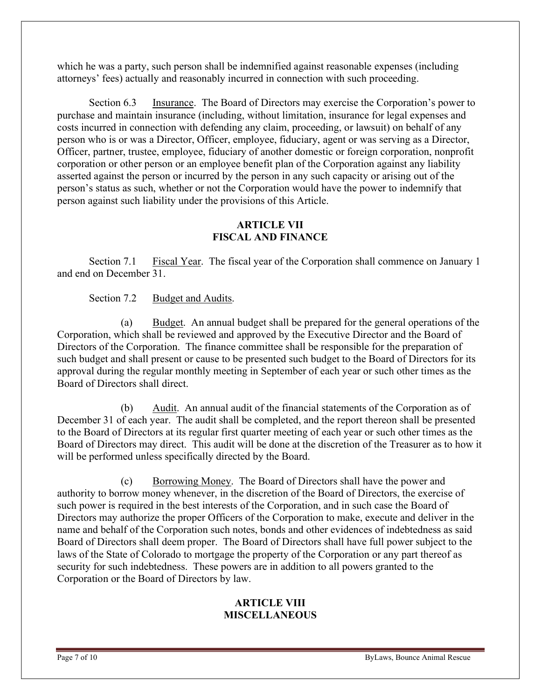which he was a party, such person shall be indemnified against reasonable expenses (including attorneys' fees) actually and reasonably incurred in connection with such proceeding.

Section 6.3 Insurance. The Board of Directors may exercise the Corporation's power to purchase and maintain insurance (including, without limitation, insurance for legal expenses and costs incurred in connection with defending any claim, proceeding, or lawsuit) on behalf of any person who is or was a Director, Officer, employee, fiduciary, agent or was serving as a Director, Officer, partner, trustee, employee, fiduciary of another domestic or foreign corporation, nonprofit corporation or other person or an employee benefit plan of the Corporation against any liability asserted against the person or incurred by the person in any such capacity or arising out of the person's status as such, whether or not the Corporation would have the power to indemnify that person against such liability under the provisions of this Article.

#### ARTICLE VII FISCAL AND FINANCE

Section 7.1 Fiscal Year. The fiscal year of the Corporation shall commence on January 1 and end on December 31.

Section 7.2 Budget and Audits.

(a) Budget. An annual budget shall be prepared for the general operations of the Corporation, which shall be reviewed and approved by the Executive Director and the Board of Directors of the Corporation. The finance committee shall be responsible for the preparation of such budget and shall present or cause to be presented such budget to the Board of Directors for its approval during the regular monthly meeting in September of each year or such other times as the Board of Directors shall direct.

(b) Audit. An annual audit of the financial statements of the Corporation as of December 31 of each year. The audit shall be completed, and the report thereon shall be presented to the Board of Directors at its regular first quarter meeting of each year or such other times as the Board of Directors may direct. This audit will be done at the discretion of the Treasurer as to how it will be performed unless specifically directed by the Board.

(c) Borrowing Money. The Board of Directors shall have the power and authority to borrow money whenever, in the discretion of the Board of Directors, the exercise of such power is required in the best interests of the Corporation, and in such case the Board of Directors may authorize the proper Officers of the Corporation to make, execute and deliver in the name and behalf of the Corporation such notes, bonds and other evidences of indebtedness as said Board of Directors shall deem proper. The Board of Directors shall have full power subject to the laws of the State of Colorado to mortgage the property of the Corporation or any part thereof as security for such indebtedness. These powers are in addition to all powers granted to the Corporation or the Board of Directors by law.

#### ARTICLE VIII **MISCELLANEOUS**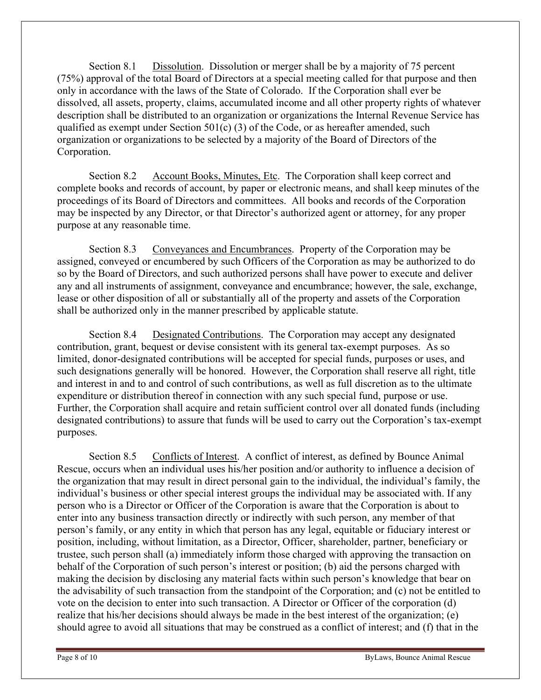Section 8.1 Dissolution. Dissolution or merger shall be by a majority of 75 percent (75%) approval of the total Board of Directors at a special meeting called for that purpose and then only in accordance with the laws of the State of Colorado. If the Corporation shall ever be dissolved, all assets, property, claims, accumulated income and all other property rights of whatever description shall be distributed to an organization or organizations the Internal Revenue Service has qualified as exempt under Section  $501(c)$  (3) of the Code, or as hereafter amended, such organization or organizations to be selected by a majority of the Board of Directors of the Corporation.

Section 8.2 Account Books, Minutes, Etc. The Corporation shall keep correct and complete books and records of account, by paper or electronic means, and shall keep minutes of the proceedings of its Board of Directors and committees. All books and records of the Corporation may be inspected by any Director, or that Director's authorized agent or attorney, for any proper purpose at any reasonable time.

Section 8.3 Conveyances and Encumbrances. Property of the Corporation may be assigned, conveyed or encumbered by such Officers of the Corporation as may be authorized to do so by the Board of Directors, and such authorized persons shall have power to execute and deliver any and all instruments of assignment, conveyance and encumbrance; however, the sale, exchange, lease or other disposition of all or substantially all of the property and assets of the Corporation shall be authorized only in the manner prescribed by applicable statute.

Section 8.4 Designated Contributions. The Corporation may accept any designated contribution, grant, bequest or devise consistent with its general tax-exempt purposes. As so limited, donor-designated contributions will be accepted for special funds, purposes or uses, and such designations generally will be honored. However, the Corporation shall reserve all right, title and interest in and to and control of such contributions, as well as full discretion as to the ultimate expenditure or distribution thereof in connection with any such special fund, purpose or use. Further, the Corporation shall acquire and retain sufficient control over all donated funds (including designated contributions) to assure that funds will be used to carry out the Corporation's tax-exempt purposes.

Section 8.5 Conflicts of Interest. A conflict of interest, as defined by Bounce Animal Rescue, occurs when an individual uses his/her position and/or authority to influence a decision of the organization that may result in direct personal gain to the individual, the individual's family, the individual's business or other special interest groups the individual may be associated with. If any person who is a Director or Officer of the Corporation is aware that the Corporation is about to enter into any business transaction directly or indirectly with such person, any member of that person's family, or any entity in which that person has any legal, equitable or fiduciary interest or position, including, without limitation, as a Director, Officer, shareholder, partner, beneficiary or trustee, such person shall (a) immediately inform those charged with approving the transaction on behalf of the Corporation of such person's interest or position; (b) aid the persons charged with making the decision by disclosing any material facts within such person's knowledge that bear on the advisability of such transaction from the standpoint of the Corporation; and (c) not be entitled to vote on the decision to enter into such transaction. A Director or Officer of the corporation (d) realize that his/her decisions should always be made in the best interest of the organization; (e) should agree to avoid all situations that may be construed as a conflict of interest; and (f) that in the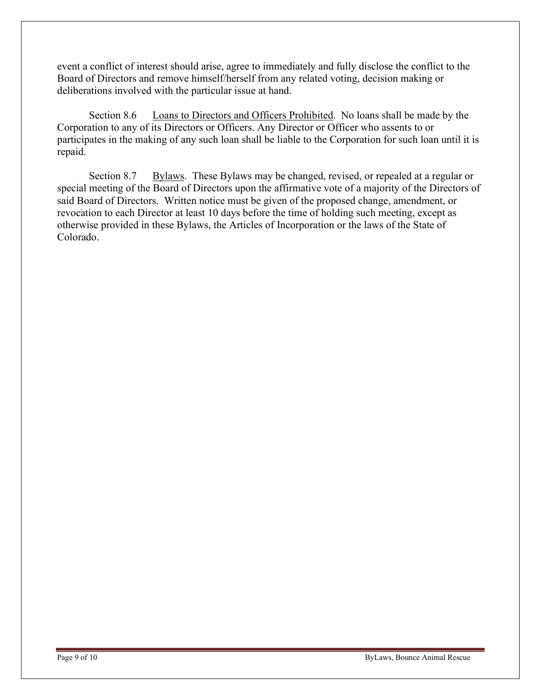event a conflict of interest should arise, agree to immediately and fully disclose the conflict to the Board of Directors and remove himself/herself from any related voting, decision making or deliberations involved with the particular issue at hand.

Section 8.6 Loans to Directors and Officers Prohibited. No loans shall be made by the Corporation to any of its Directors or Officers. Any Director or Officer who assents to or participates in the making of any such loan shall be liable to the Corporation for such loan until it is repaid.

Section 8.7 Bylaws. These Bylaws may be changed, revised, or repealed at a regular or special meeting of the Board of Directors upon the affirmative vote of a majority of the Directors of said Board of Directors. Written notice must be given of the proposed change, amendment, or revocation to each Director at least 10 days before the time of holding such meeting, except as otherwise provided in these Bylaws, the Articles of Incorporation or the laws of the State of Colorado.